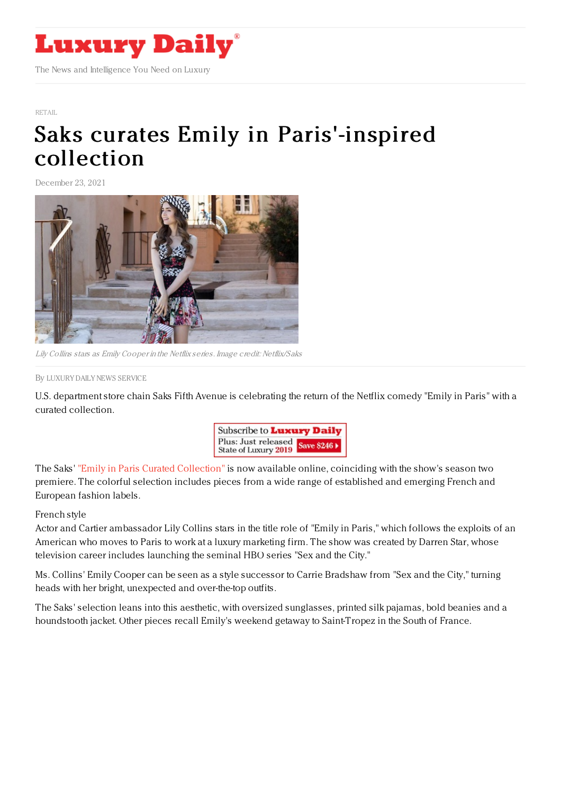

## [RETAIL](https://www.luxurydaily.com/category/sectors/retail-industry-sectors/)

## Saks curates Emily in [Paris'-inspired](https://www.luxurydaily.com/saks-emily-in-paris/) collection

December 23, 2021



Lily Collins stars as Emily Cooper in the Netflix series. Image credit: Netflix/Saks

By LUXURY DAILY NEWS [SERVICE](file:///author/luxury-daily-news-service)

U.S. department store chain Saks Fifth Avenue is celebrating the return of the Netflix comedy "Emily in Paris" with a curated collection.



The Saks' "Emily in Paris Curated [Collection"](https://www.saksfifthavenue.com/c/custom/email-events/emily-in-paris) is now available online, coinciding with the show's season two premiere. The colorful selection includes pieces from a wide range of established and emerging French and European fashion labels.

## French style

Actor and Cartier ambassador Lily Collins stars in the title role of "Emily in Paris," which follows the exploits of an American who moves to Paris to work at a luxury marketing firm. The show was created by Darren Star, whose television career includes launching the seminal HBO series "Sex and the City."

Ms. Collins' Emily Cooper can be seen as a style successor to Carrie Bradshaw from "Sex and the City," turning heads with her bright, unexpected and over-the-top outfits.

The Saks' selection leans into this aesthetic, with oversized sunglasses, printed silk pajamas, bold beanies and a houndstooth jacket. Other pieces recall Emily's weekend getaway to Saint-Tropez in the South of France.